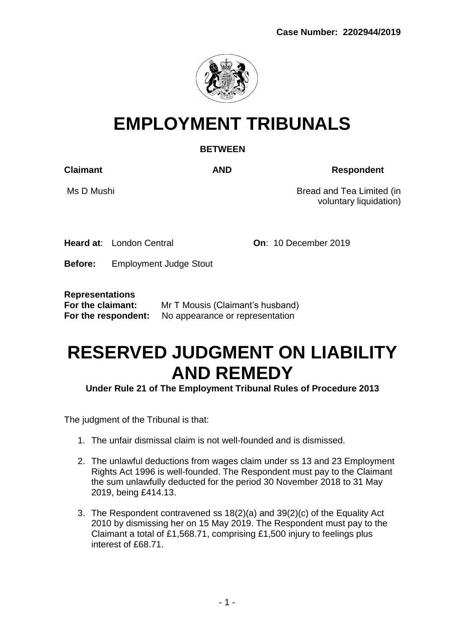

# **EMPLOYMENT TRIBUNALS**

# **BETWEEN**

**Claimant AND Respondent**

Ms D Mushi Bread and Tea Limited (in voluntary liquidation)

**Heard at:** London Central **On: 10 December 2019** 

**Before:** Employment Judge Stout

**Representations**

| For the claimant:   | Mr T Mousis (Claimant's husband) |
|---------------------|----------------------------------|
| For the respondent: | No appearance or representation  |

# **RESERVED JUDGMENT ON LIABILITY AND REMEDY**

**Under Rule 21 of The Employment Tribunal Rules of Procedure 2013** 

The judgment of the Tribunal is that:

- 1. The unfair dismissal claim is not well-founded and is dismissed.
- 2. The unlawful deductions from wages claim under ss 13 and 23 Employment Rights Act 1996 is well-founded. The Respondent must pay to the Claimant the sum unlawfully deducted for the period 30 November 2018 to 31 May 2019, being £414.13.
- 3. The Respondent contravened ss 18(2)(a) and 39(2)(c) of the Equality Act 2010 by dismissing her on 15 May 2019. The Respondent must pay to the Claimant a total of £1,568.71, comprising £1,500 injury to feelings plus interest of £68.71.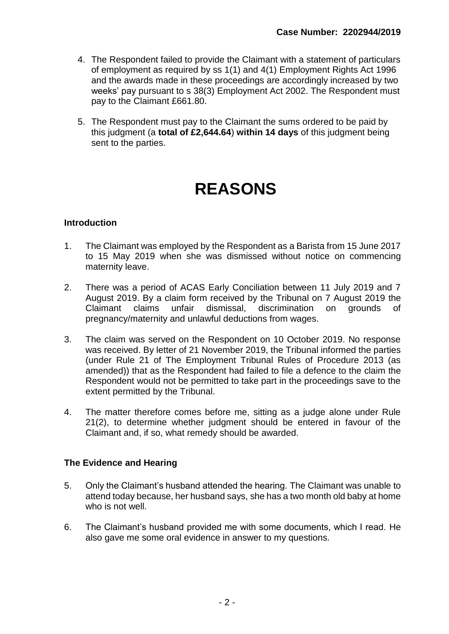- 4. The Respondent failed to provide the Claimant with a statement of particulars of employment as required by ss 1(1) and 4(1) Employment Rights Act 1996 and the awards made in these proceedings are accordingly increased by two weeks' pay pursuant to s 38(3) Employment Act 2002. The Respondent must pay to the Claimant £661.80.
- 5. The Respondent must pay to the Claimant the sums ordered to be paid by this judgment (a **total of £2,644.64**) **within 14 days** of this judgment being sent to the parties.

# **REASONS**

# **Introduction**

- 1. The Claimant was employed by the Respondent as a Barista from 15 June 2017 to 15 May 2019 when she was dismissed without notice on commencing maternity leave.
- 2. There was a period of ACAS Early Conciliation between 11 July 2019 and 7 August 2019. By a claim form received by the Tribunal on 7 August 2019 the Claimant claims unfair dismissal, discrimination on grounds of pregnancy/maternity and unlawful deductions from wages.
- 3. The claim was served on the Respondent on 10 October 2019. No response was received. By letter of 21 November 2019, the Tribunal informed the parties (under Rule 21 of The Employment Tribunal Rules of Procedure 2013 (as amended)) that as the Respondent had failed to file a defence to the claim the Respondent would not be permitted to take part in the proceedings save to the extent permitted by the Tribunal.
- 4. The matter therefore comes before me, sitting as a judge alone under Rule 21(2), to determine whether judgment should be entered in favour of the Claimant and, if so, what remedy should be awarded.

# **The Evidence and Hearing**

- 5. Only the Claimant's husband attended the hearing. The Claimant was unable to attend today because, her husband says, she has a two month old baby at home who is not well.
- 6. The Claimant's husband provided me with some documents, which I read. He also gave me some oral evidence in answer to my questions.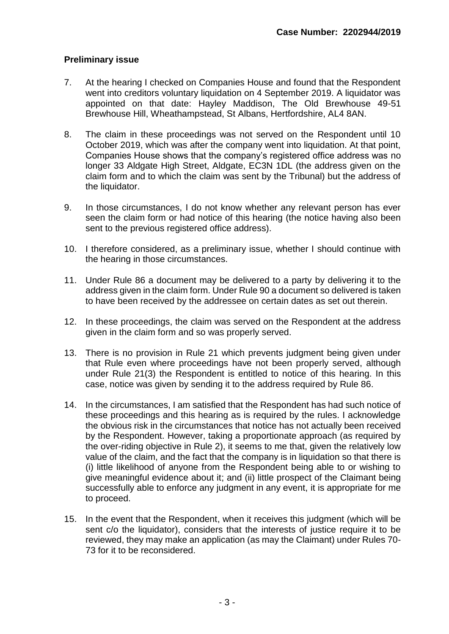# **Preliminary issue**

- 7. At the hearing I checked on Companies House and found that the Respondent went into creditors voluntary liquidation on 4 September 2019. A liquidator was appointed on that date: Hayley Maddison, The Old Brewhouse 49-51 Brewhouse Hill, Wheathampstead, St Albans, Hertfordshire, AL4 8AN.
- 8. The claim in these proceedings was not served on the Respondent until 10 October 2019, which was after the company went into liquidation. At that point, Companies House shows that the company's registered office address was no longer 33 Aldgate High Street, Aldgate, EC3N 1DL (the address given on the claim form and to which the claim was sent by the Tribunal) but the address of the liquidator.
- 9. In those circumstances, I do not know whether any relevant person has ever seen the claim form or had notice of this hearing (the notice having also been sent to the previous registered office address).
- 10. I therefore considered, as a preliminary issue, whether I should continue with the hearing in those circumstances.
- 11. Under Rule 86 a document may be delivered to a party by delivering it to the address given in the claim form. Under Rule 90 a document so delivered is taken to have been received by the addressee on certain dates as set out therein.
- 12. In these proceedings, the claim was served on the Respondent at the address given in the claim form and so was properly served.
- 13. There is no provision in Rule 21 which prevents judgment being given under that Rule even where proceedings have not been properly served, although under Rule 21(3) the Respondent is entitled to notice of this hearing. In this case, notice was given by sending it to the address required by Rule 86.
- 14. In the circumstances, I am satisfied that the Respondent has had such notice of these proceedings and this hearing as is required by the rules. I acknowledge the obvious risk in the circumstances that notice has not actually been received by the Respondent. However, taking a proportionate approach (as required by the over-riding objective in Rule 2), it seems to me that, given the relatively low value of the claim, and the fact that the company is in liquidation so that there is (i) little likelihood of anyone from the Respondent being able to or wishing to give meaningful evidence about it; and (ii) little prospect of the Claimant being successfully able to enforce any judgment in any event, it is appropriate for me to proceed.
- 15. In the event that the Respondent, when it receives this judgment (which will be sent c/o the liquidator), considers that the interests of justice require it to be reviewed, they may make an application (as may the Claimant) under Rules 70- 73 for it to be reconsidered.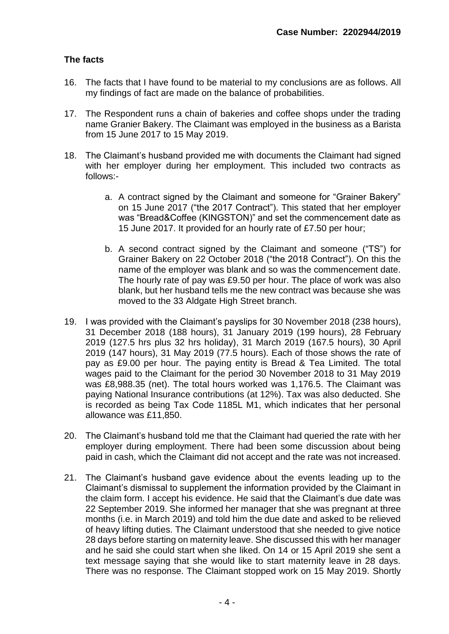# **The facts**

- 16. The facts that I have found to be material to my conclusions are as follows. All my findings of fact are made on the balance of probabilities.
- 17. The Respondent runs a chain of bakeries and coffee shops under the trading name Granier Bakery. The Claimant was employed in the business as a Barista from 15 June 2017 to 15 May 2019.
- 18. The Claimant's husband provided me with documents the Claimant had signed with her employer during her employment. This included two contracts as follows:
	- a. A contract signed by the Claimant and someone for "Grainer Bakery" on 15 June 2017 ("the 2017 Contract"). This stated that her employer was "Bread&Coffee (KINGSTON)" and set the commencement date as 15 June 2017. It provided for an hourly rate of £7.50 per hour;
	- b. A second contract signed by the Claimant and someone ("TS") for Grainer Bakery on 22 October 2018 ("the 2018 Contract"). On this the name of the employer was blank and so was the commencement date. The hourly rate of pay was £9.50 per hour. The place of work was also blank, but her husband tells me the new contract was because she was moved to the 33 Aldgate High Street branch.
- 19. I was provided with the Claimant's payslips for 30 November 2018 (238 hours), 31 December 2018 (188 hours), 31 January 2019 (199 hours), 28 February 2019 (127.5 hrs plus 32 hrs holiday), 31 March 2019 (167.5 hours), 30 April 2019 (147 hours), 31 May 2019 (77.5 hours). Each of those shows the rate of pay as £9.00 per hour. The paying entity is Bread & Tea Limited. The total wages paid to the Claimant for the period 30 November 2018 to 31 May 2019 was £8,988.35 (net). The total hours worked was 1,176.5. The Claimant was paying National Insurance contributions (at 12%). Tax was also deducted. She is recorded as being Tax Code 1185L M1, which indicates that her personal allowance was £11,850.
- 20. The Claimant's husband told me that the Claimant had queried the rate with her employer during employment. There had been some discussion about being paid in cash, which the Claimant did not accept and the rate was not increased.
- 21. The Claimant's husband gave evidence about the events leading up to the Claimant's dismissal to supplement the information provided by the Claimant in the claim form. I accept his evidence. He said that the Claimant's due date was 22 September 2019. She informed her manager that she was pregnant at three months (i.e. in March 2019) and told him the due date and asked to be relieved of heavy lifting duties. The Claimant understood that she needed to give notice 28 days before starting on maternity leave. She discussed this with her manager and he said she could start when she liked. On 14 or 15 April 2019 she sent a text message saying that she would like to start maternity leave in 28 days. There was no response. The Claimant stopped work on 15 May 2019. Shortly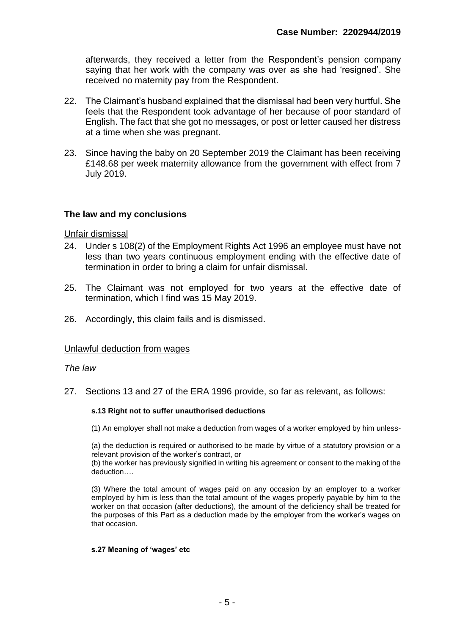afterwards, they received a letter from the Respondent's pension company saying that her work with the company was over as she had 'resigned'. She received no maternity pay from the Respondent.

- 22. The Claimant's husband explained that the dismissal had been very hurtful. She feels that the Respondent took advantage of her because of poor standard of English. The fact that she got no messages, or post or letter caused her distress at a time when she was pregnant.
- 23. Since having the baby on 20 September 2019 the Claimant has been receiving £148.68 per week maternity allowance from the government with effect from 7 July 2019.

## **The law and my conclusions**

Unfair dismissal

- 24. Under s 108(2) of the Employment Rights Act 1996 an employee must have not less than two years continuous employment ending with the effective date of termination in order to bring a claim for unfair dismissal.
- 25. The Claimant was not employed for two years at the effective date of termination, which I find was 15 May 2019.
- 26. Accordingly, this claim fails and is dismissed.

#### Unlawful deduction from wages

#### *The law*

27. Sections 13 and 27 of the ERA 1996 provide, so far as relevant, as follows:

#### **s.13 Right not to suffer unauthorised deductions**

(1) An employer shall not make a deduction from wages of a worker employed by him unless-

(a) the deduction is required or authorised to be made by virtue of a statutory provision or a relevant provision of the worker's contract, or

(b) the worker has previously signified in writing his agreement or consent to the making of the deduction….

(3) Where the total amount of wages paid on any occasion by an employer to a worker employed by him is less than the total amount of the wages properly payable by him to the worker on that occasion (after deductions), the amount of the deficiency shall be treated for the purposes of this Part as a deduction made by the employer from the worker's wages on that occasion.

#### **s.27 Meaning of 'wages' etc**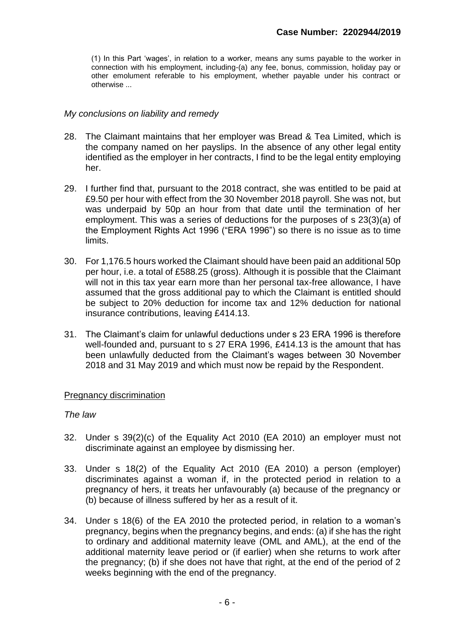(1) In this Part 'wages', in relation to a worker, means any sums payable to the worker in connection with his employment, including-(a) any fee, bonus, commission, holiday pay or other emolument referable to his employment, whether payable under his contract or otherwise ...

## *My conclusions on liability and remedy*

- 28. The Claimant maintains that her employer was Bread & Tea Limited, which is the company named on her payslips. In the absence of any other legal entity identified as the employer in her contracts, I find to be the legal entity employing her.
- 29. I further find that, pursuant to the 2018 contract, she was entitled to be paid at £9.50 per hour with effect from the 30 November 2018 payroll. She was not, but was underpaid by 50p an hour from that date until the termination of her employment. This was a series of deductions for the purposes of s 23(3)(a) of the Employment Rights Act 1996 ("ERA 1996") so there is no issue as to time limits.
- 30. For 1,176.5 hours worked the Claimant should have been paid an additional 50p per hour, i.e. a total of £588.25 (gross). Although it is possible that the Claimant will not in this tax year earn more than her personal tax-free allowance, I have assumed that the gross additional pay to which the Claimant is entitled should be subject to 20% deduction for income tax and 12% deduction for national insurance contributions, leaving £414.13.
- 31. The Claimant's claim for unlawful deductions under s 23 ERA 1996 is therefore well-founded and, pursuant to s 27 ERA 1996, £414.13 is the amount that has been unlawfully deducted from the Claimant's wages between 30 November 2018 and 31 May 2019 and which must now be repaid by the Respondent.

### Pregnancy discrimination

### *The law*

- 32. Under s 39(2)(c) of the Equality Act 2010 (EA 2010) an employer must not discriminate against an employee by dismissing her.
- 33. Under s 18(2) of the Equality Act 2010 (EA 2010) a person (employer) discriminates against a woman if, in the protected period in relation to a pregnancy of hers, it treats her unfavourably (a) because of the pregnancy or (b) because of illness suffered by her as a result of it.
- 34. Under s 18(6) of the EA 2010 the protected period, in relation to a woman's pregnancy, begins when the pregnancy begins, and ends: (a) if she has the right to ordinary and additional maternity leave (OML and AML), at the end of the additional maternity leave period or (if earlier) when she returns to work after the pregnancy; (b) if she does not have that right, at the end of the period of 2 weeks beginning with the end of the pregnancy.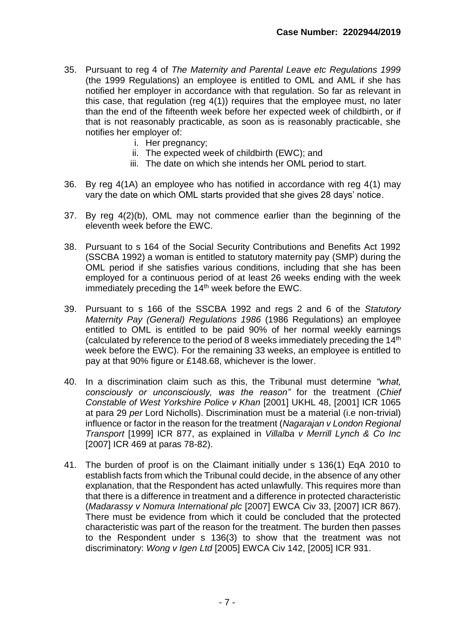- 35. Pursuant to reg 4 of *The Maternity and Parental Leave etc Regulations 1999* (the 1999 Regulations) an employee is entitled to OML and AML if she has notified her employer in accordance with that regulation. So far as relevant in this case, that regulation (reg 4(1)) requires that the employee must, no later than the end of the fifteenth week before her expected week of childbirth, or if that is not reasonably practicable, as soon as is reasonably practicable, she notifies her employer of:
	- i. Her pregnancy;
	- ii. The expected week of childbirth (EWC); and
	- iii. The date on which she intends her OML period to start.
- 36. By reg 4(1A) an employee who has notified in accordance with reg 4(1) may vary the date on which OML starts provided that she gives 28 days' notice.
- 37. By reg 4(2)(b), OML may not commence earlier than the beginning of the eleventh week before the EWC.
- 38. Pursuant to s 164 of the Social Security Contributions and Benefits Act 1992 (SSCBA 1992) a woman is entitled to statutory maternity pay (SMP) during the OML period if she satisfies various conditions, including that she has been employed for a continuous period of at least 26 weeks ending with the week immediately preceding the 14<sup>th</sup> week before the EWC.
- 39. Pursuant to s 166 of the SSCBA 1992 and regs 2 and 6 of the *Statutory Maternity Pay (General) Regulations 1986* (1986 Regulations) an employee entitled to OML is entitled to be paid 90% of her normal weekly earnings (calculated by reference to the period of 8 weeks immediately preceding the 14th week before the EWC). For the remaining 33 weeks, an employee is entitled to pay at that 90% figure or £148.68, whichever is the lower.
- 40. In a discrimination claim such as this, the Tribunal must determine *"what, consciously or unconsciously, was the reason"* for the treatment (*Chief Constable of West Yorkshire Police v Khan* [2001] UKHL 48, [2001] ICR 1065 at para 29 *per* Lord Nicholls). Discrimination must be a material (i.e non-trivial) influence or factor in the reason for the treatment (*Nagarajan v London Regional Transport* [1999] ICR 877, as explained in *Villalba v Merrill Lynch & Co Inc* [2007] ICR 469 at paras 78-82).
- 41. The burden of proof is on the Claimant initially under s 136(1) EqA 2010 to establish facts from which the Tribunal could decide, in the absence of any other explanation, that the Respondent has acted unlawfully. This requires more than that there is a difference in treatment and a difference in protected characteristic (*Madarassy v Nomura International plc* [2007] EWCA Civ 33, [2007] ICR 867). There must be evidence from which it could be concluded that the protected characteristic was part of the reason for the treatment. The burden then passes to the Respondent under s 136(3) to show that the treatment was not discriminatory: *Wong v Igen Ltd* [2005] EWCA Civ 142, [2005] ICR 931.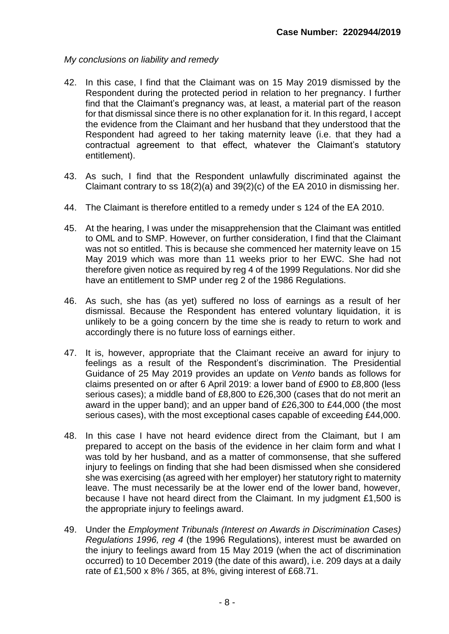# *My conclusions on liability and remedy*

- 42. In this case, I find that the Claimant was on 15 May 2019 dismissed by the Respondent during the protected period in relation to her pregnancy. I further find that the Claimant's pregnancy was, at least, a material part of the reason for that dismissal since there is no other explanation for it. In this regard, I accept the evidence from the Claimant and her husband that they understood that the Respondent had agreed to her taking maternity leave (i.e. that they had a contractual agreement to that effect, whatever the Claimant's statutory entitlement).
- 43. As such, I find that the Respondent unlawfully discriminated against the Claimant contrary to ss 18(2)(a) and 39(2)(c) of the EA 2010 in dismissing her.
- 44. The Claimant is therefore entitled to a remedy under s 124 of the EA 2010.
- 45. At the hearing, I was under the misapprehension that the Claimant was entitled to OML and to SMP. However, on further consideration, I find that the Claimant was not so entitled. This is because she commenced her maternity leave on 15 May 2019 which was more than 11 weeks prior to her EWC. She had not therefore given notice as required by reg 4 of the 1999 Regulations. Nor did she have an entitlement to SMP under reg 2 of the 1986 Regulations.
- 46. As such, she has (as yet) suffered no loss of earnings as a result of her dismissal. Because the Respondent has entered voluntary liquidation, it is unlikely to be a going concern by the time she is ready to return to work and accordingly there is no future loss of earnings either.
- 47. It is, however, appropriate that the Claimant receive an award for injury to feelings as a result of the Respondent's discrimination. The Presidential Guidance of 25 May 2019 provides an update on *Vento* bands as follows for claims presented on or after 6 April 2019: a lower band of £900 to £8,800 (less serious cases); a middle band of £8,800 to £26,300 (cases that do not merit an award in the upper band); and an upper band of £26,300 to £44,000 (the most serious cases), with the most exceptional cases capable of exceeding £44,000.
- 48. In this case I have not heard evidence direct from the Claimant, but I am prepared to accept on the basis of the evidence in her claim form and what I was told by her husband, and as a matter of commonsense, that she suffered injury to feelings on finding that she had been dismissed when she considered she was exercising (as agreed with her employer) her statutory right to maternity leave. The must necessarily be at the lower end of the lower band, however, because I have not heard direct from the Claimant. In my judgment £1,500 is the appropriate injury to feelings award.
- 49. Under the *Employment Tribunals (Interest on Awards in Discrimination Cases) Regulations 1996, reg 4* (the 1996 Regulations), interest must be awarded on the injury to feelings award from 15 May 2019 (when the act of discrimination occurred) to 10 December 2019 (the date of this award), i.e. 209 days at a daily rate of £1,500 x 8% / 365, at 8%, giving interest of £68.71.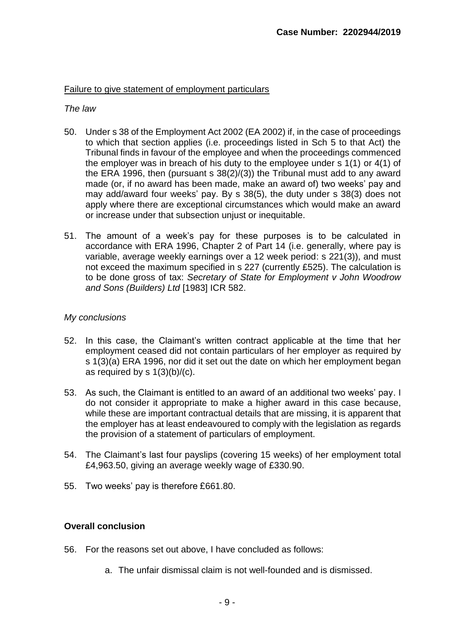# Failure to give statement of employment particulars

## *The law*

- 50. Under s 38 of the Employment Act 2002 (EA 2002) if, in the case of proceedings to which that section applies (i.e. proceedings listed in Sch 5 to that Act) the Tribunal finds in favour of the employee and when the proceedings commenced the employer was in breach of his duty to the employee under s 1(1) or 4(1) of the ERA 1996, then (pursuant s 38(2)/(3)) the Tribunal must add to any award made (or, if no award has been made, make an award of) two weeks' pay and may add/award four weeks' pay. By s 38(5), the duty under s 38(3) does not apply where there are exceptional circumstances which would make an award or increase under that subsection unjust or inequitable.
- 51. The amount of a week's pay for these purposes is to be calculated in accordance with ERA 1996, Chapter 2 of Part 14 (i.e. generally, where pay is variable, average weekly earnings over a 12 week period: s 221(3)), and must not exceed the maximum specified in s 227 (currently £525). The calculation is to be done gross of tax: *Secretary of State for Employment v John Woodrow and Sons (Builders) Ltd* [1983] ICR 582.

# *My conclusions*

- 52. In this case, the Claimant's written contract applicable at the time that her employment ceased did not contain particulars of her employer as required by s 1(3)(a) ERA 1996, nor did it set out the date on which her employment began as required by  $s \frac{1}{3}(b)/(c)$ .
- 53. As such, the Claimant is entitled to an award of an additional two weeks' pay. I do not consider it appropriate to make a higher award in this case because, while these are important contractual details that are missing, it is apparent that the employer has at least endeavoured to comply with the legislation as regards the provision of a statement of particulars of employment.
- 54. The Claimant's last four payslips (covering 15 weeks) of her employment total £4,963.50, giving an average weekly wage of £330.90.
- 55. Two weeks' pay is therefore £661.80.

# **Overall conclusion**

- 56. For the reasons set out above, I have concluded as follows:
	- a. The unfair dismissal claim is not well-founded and is dismissed.